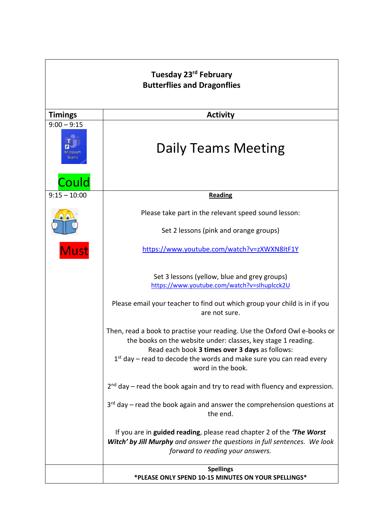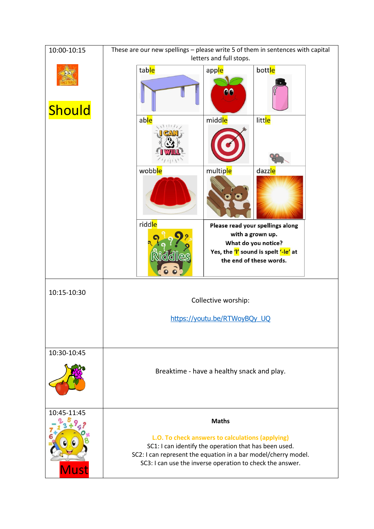| 10:00-10:15 | These are our new spellings - please write 5 of them in sentences with capital<br>letters and full stops.                                                                                                                                |
|-------------|------------------------------------------------------------------------------------------------------------------------------------------------------------------------------------------------------------------------------------------|
| Should      | table<br>bottle<br>apple<br>00                                                                                                                                                                                                           |
|             | middle<br>litt <mark>le</mark><br>able<br>11111                                                                                                                                                                                          |
|             | wobble<br>multiple<br>dazzle                                                                                                                                                                                                             |
|             | riddle<br>Please read your spellings along<br>with a grown up.<br>What do you notice?<br>Yes, the 'l' sound is spelt '-le' at<br><b>Riddles</b><br>the end of these words.<br>$\overline{\bullet}$ $\overline{\bullet}$                  |
| 10:15-10:30 | Collective worship:                                                                                                                                                                                                                      |
|             | https://youtu.be/RTWoyBQy UQ                                                                                                                                                                                                             |
| 10:30-10:45 |                                                                                                                                                                                                                                          |
|             | Breaktime - have a healthy snack and play.                                                                                                                                                                                               |
| 10:45-11:45 | <b>Maths</b>                                                                                                                                                                                                                             |
| <b>Must</b> | L.O. To check answers to calculations (applying)<br>SC1: I can identify the operation that has been used.<br>SC2: I can represent the equation in a bar model/cherry model.<br>SC3: I can use the inverse operation to check the answer. |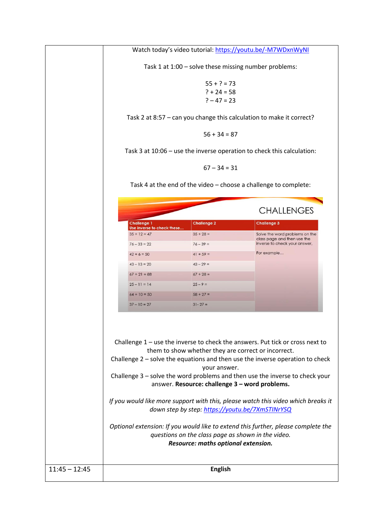Watch today's video tutorial: <https://youtu.be/-M7WDxnWyNI> Task 1 at 1:00 – solve these missing number problems:  $55 + ? = 73$  $? + 24 = 58$  $? - 47 = 23$ Task 2 at 8:57 – can you change this calculation to make it correct?  $56 + 34 = 87$ Task 3 at 10:06 – use the inverse operation to check this calculation:  $67 - 34 = 31$ Task 4 at the end of the video – choose a challenge to complete: **CHALLENGES** Challenge 3 **Challenge 1 Challenge 2** Use inverse to check th  $35 + 12 = 47$  $35 + 28 =$ Solve the word problems on the class page and then use the<br>inverse to check your answer,  $76 - 33 = 22$  $76 - 39 =$ For example...  $42 + 6 = 50$  $41 + 59 =$  $43 - 13 = 20$  $43 - 29 =$  $67 + 21 = 88$  $67 + 28 =$  $25 - 11 = 14$  $25 - 9 =$  $64 + 10 = 50$  $58 + 27 =$  $37 - 10 = 27$  $31 - 27 =$ Challenge 1 – use the inverse to check the answers. Put tick or cross next to them to show whether they are correct or incorrect. Challenge 2 – solve the equations and then use the inverse operation to check your answer. Challenge 3 – solve the word problems and then use the inverse to check your answer. **Resource: challenge 3 – word problems.** *If you would like more support with this, please watch this video which breaks it down step by step:<https://youtu.be/7XmSTINrYSQ> Optional extension: If you would like to extend this further, please complete the questions on the class page as shown in the video. Resource: maths optional extension.* 11:45 – 12:45 **English**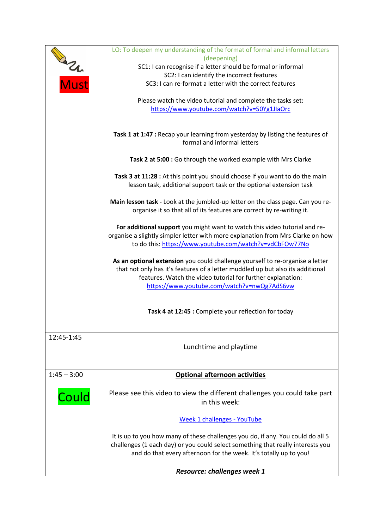|               | LO: To deepen my understanding of the format of formal and informal letters<br>(deepening)                                                          |
|---------------|-----------------------------------------------------------------------------------------------------------------------------------------------------|
|               | SC1: I can recognise if a letter should be formal or informal                                                                                       |
|               | SC2: I can identify the incorrect features                                                                                                          |
| <b>Must</b>   | SC3: I can re-format a letter with the correct features                                                                                             |
|               | Please watch the video tutorial and complete the tasks set:                                                                                         |
|               | https://www.youtube.com/watch?v=50Yg1JlaOrc                                                                                                         |
|               | Task 1 at 1:47 : Recap your learning from yesterday by listing the features of<br>formal and informal letters                                       |
|               | Task 2 at 5:00 : Go through the worked example with Mrs Clarke                                                                                      |
|               | Task 3 at 11:28 : At this point you should choose if you want to do the main<br>lesson task, additional support task or the optional extension task |
|               | Main lesson task - Look at the jumbled-up letter on the class page. Can you re-                                                                     |
|               | organise it so that all of its features are correct by re-writing it.                                                                               |
|               | For additional support you might want to watch this video tutorial and re-                                                                          |
|               | organise a slightly simpler letter with more explanation from Mrs Clarke on how                                                                     |
|               | to do this: https://www.youtube.com/watch?v=vdCbFOw77No                                                                                             |
|               | As an optional extension you could challenge yourself to re-organise a letter                                                                       |
|               | that not only has it's features of a letter muddled up but also its additional                                                                      |
|               | features. Watch the video tutorial for further explanation:<br>https://www.youtube.com/watch?v=nwQg7AdS6vw                                          |
|               |                                                                                                                                                     |
|               | Task 4 at 12:45 : Complete your reflection for today                                                                                                |
| 12:45-1:45    |                                                                                                                                                     |
|               | Lunchtime and playtime                                                                                                                              |
|               |                                                                                                                                                     |
| $1:45 - 3:00$ | <b>Optional afternoon activities</b>                                                                                                                |
|               | Please see this video to view the different challenges you could take part<br>in this week:                                                         |
|               |                                                                                                                                                     |
|               | <b>Week 1 challenges - YouTube</b>                                                                                                                  |
|               | It is up to you how many of these challenges you do, if any. You could do all 5                                                                     |
|               | challenges (1 each day) or you could select something that really interests you                                                                     |
|               | and do that every afternoon for the week. It's totally up to you!                                                                                   |
|               | <b>Resource: challenges week 1</b>                                                                                                                  |
|               |                                                                                                                                                     |